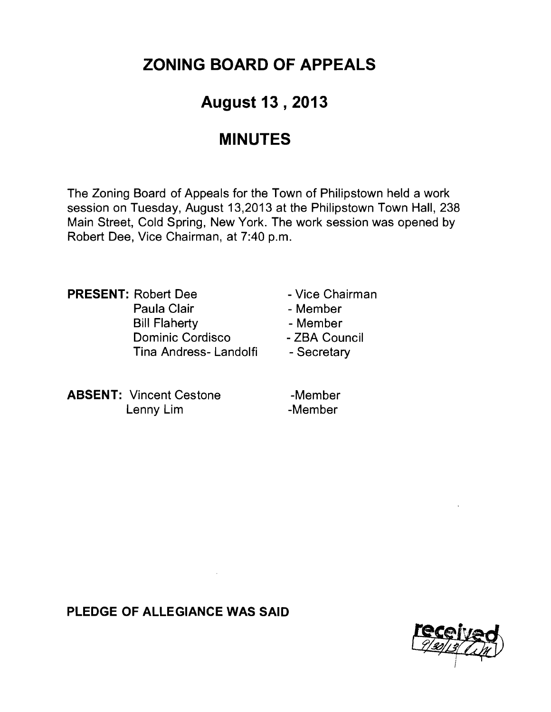# **ZONING BOARD OF APPEALS**

## **August 13 , 2013**

## **MINUTES**

The Zoning Board of Appeals for the Town of Philipstown held a work session on Tuesday, August 13,2013 at the Philipstown Town Hall, 238 Main Street, Cold Spring, New York. The work session was opened by Robert Dee, Vice Chairman, at 7:40 p.m.

**PRESENT:** Robert Dee **- Vice Chairman** Paula Clair **- Member** Bill Flaherty **- Member** Dominic Cordisco - ZBA Council Tina Andress- Landolfi - Secretary

- 
- 
- 

**ABSENT:** Vincent Cestone -Member Lenny Lim - Member

**PLEDGE OF ALLEGIANCE WAS SAID** 

 $\sim$ 

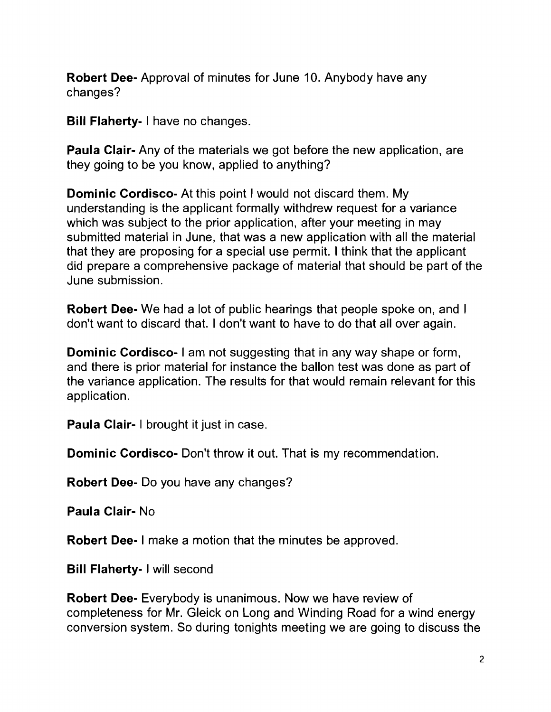**Robert Dee-** Approval of minutes for June 10. Anybody have any changes?

**Bill Flaherty- I** have no changes.

**Paula Clair-** Any of the materials we got before the new application, are they going to be you know, applied to anything?

**Dominic Cordisco-** At this point I would not discard them. My understanding is the applicant formally withdrew request for a variance which was subject to the prior application, after your meeting in may submitted material in June, that was a new application with all the material that they are proposing for a special use permit. I think that the applicant did prepare a comprehensive package of material that should be part of the June submission.

**Robert Dee-** We had a lot of public hearings that people spoke on, and I don't want to discard that. I don't want to have to do that all over again.

**Dominic Cordisco-** I am not suggesting that in any way shape or form, and there is prior material for instance the ballon test was done as part of the variance application. The results for that would remain relevant for this application.

**Paula Clair-** I brought it just in case.

**Dominic Cordisco-** Don't throw it out. That is my recommendation.

**Robert Dee-** Do you have any changes?

**Paula Clair- No** 

**Robert Dee-** I make a motion that the minutes be approved.

**Bill Flaherty- I** will second

**Robert Dee-** Everybody is unanimous. Now we have review of completeness for Mr. Gleick on Long and Winding Road for a wind energy conversion system. So during tonights meeting we are going to discuss the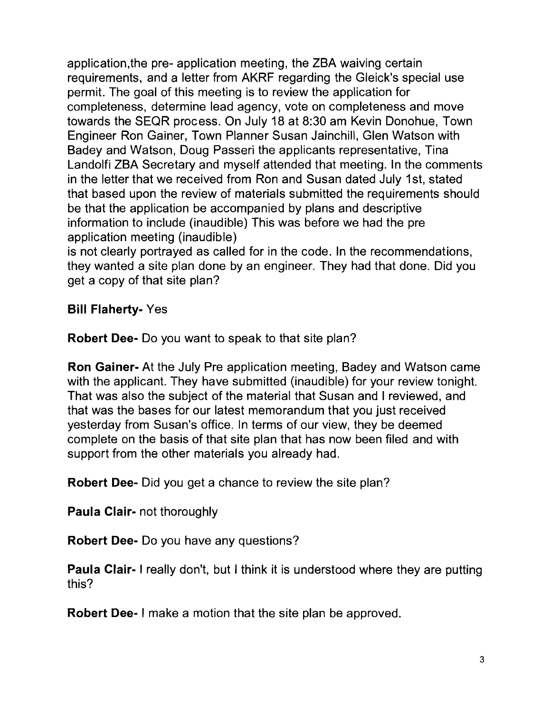application,the pre- application meeting, the ZBA waiving certain requirements, and a letter from AKRF regarding the Gleick's special use permit. The goal of this meeting is to review the application for completeness, determine lead agency, vote on completeness and move towards the SEQR process. On July 18 at 8:30 am Kevin Donohue, Town Engineer Ron Gainer, Town Planner Susan Jainchill, Glen Watson with Badey and Watson, Doug Passeri the applicants representative, Tina Landolfi ZBA Secretary and myself attended that meeting. In the comments in the letter that we received from Ron and Susan dated July 1st, stated that based upon the review of materials submitted the requirements should be that the application be accompanied by plans and descriptive information to include (inaudible) This was before we had the pre application meeting (inaudible)

is not clearly portrayed as called for in the code. In the recommendations, they wanted a site plan done by an engineer. They had that done. Did you get a copy of that site plan?

## **Bill Flaherty-** Yes

**Robert Dee-** Do you want to speak to that site plan?

**Ron Gainer-** At the July Pre application meeting, Badey and Watson came with the applicant. They have submitted (inaudible) for your review tonight. That was also the subject of the material that Susan and I reviewed, and that was the bases for our latest memorandum that you just received yesterday from Susan's office. In terms of our view, they be deemed complete on the basis of that site plan that has now been filed and with support from the other materials you already had.

**Robert Dee-** Did you get a chance to review the site plan?

**Paula Clair-** not thoroughly

**Robert Dee-** Do you have any questions?

**Paula Clair-** I really don't, but I think it is understood where they are putting this?

**Robert Dee- I** make a motion that the site plan be approved.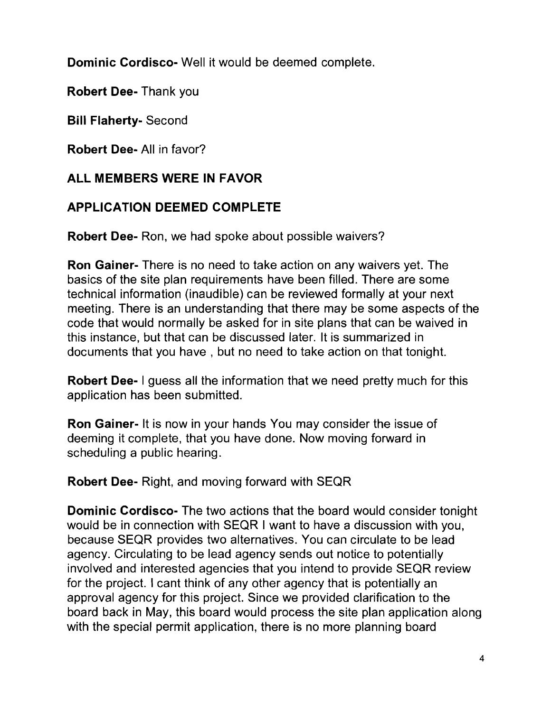**Dominic Cordisco-** Well it would be deemed complete.

Robert Dee-Thank you

**Bill Flaherty-** Second

**Robert Dee-** All in favor?

## **ALL MEMBERS WERE IN FAVOR**

## **APPLICATION DEEMED COMPLETE**

**Robert Dee-** Ron, we had spoke about possible waivers?

**Ron Gainer-** There is no need to take action on any waivers yet. The basics of the site plan requirements have been filled. There are some technical information (inaudible) can be reviewed formally at your next meeting. There is an understanding that there may be some aspects of the code that would normally be asked for in site plans that can be waived in this instance, but that can be discussed later. It is summarized in documents that you have, but no need to take action on that tonight.

**Robert Dee-** I guess all the information that we need pretty much for this application has been submitted.

**Ron Gainer-** It is now in your hands You may consider the issue of deeming it complete, that you have done. Now moving forward in scheduling a public hearing.

**Robert Dee-** Right, and moving forward with SEQR

**Dominic Cordisco-** The two actions that the board would consider tonight would be in connection with SEQR I want to have a discussion with you, because SEQR provides two alternatives. You can circulate to be lead agency. Circulating to be lead agency sends out notice to potentially involved and interested agencies that you intend to provide SEQR review for the project. I cant think of any other agency that is potentially an approval agency for this project. Since we provided clarification to the board back in May, this board would process the site plan application along with the special permit application, there is no more planning board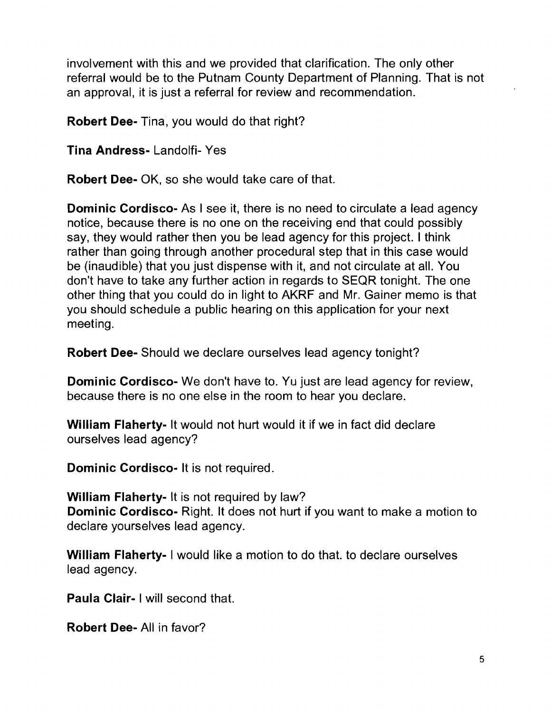involvement with this and we provided that clarification. The only other referral would be to the Putnam County Department of Planning. That is not an approval, it is just a referral for review and recommendation.

**Robert Dee-** Tina, you would do that right?

**Tina Andress-** Landolfi- Yes

**Robert Dee-** OK, so she would take care of that.

**Dominic Cordisco-** As I see it, there is no need to circulate a lead agency notice, because there is no one on the receiving end that could possibly say, they would rather then you be lead agency for this project. I think rather than going through another procedural step that in this case would be (inaudible) that you just dispense with it, and not circulate at all. You don't have to take any further action in regards to SEQR tonight. The one other thing that you could do in light to AKRF and Mr. Gainer memo is that you should schedule a public hearing on this application for your next meeting.

**Robert Dee-** Should we declare ourselves lead agency tonight?

**Dominic Cordisco-** We don't have to. Yu just are lead agency for review, because there is no one else in the room to hear you declare.

**William Flaherty-** It would not hurt would it if we in fact did declare ourselves lead agency?

**Dominic Cordisco-** It is not required.

**William Flaherty-** It is not required by law? **Dominic Cordisco-** Right. It does not hurt if you want to make a motion to declare yourselves lead agency.

**William Flaherty- I** would like a motion to do that. to declare ourselves lead agency.

**Paula Clair- I** will second that.

**Robert Dee-** All in favor?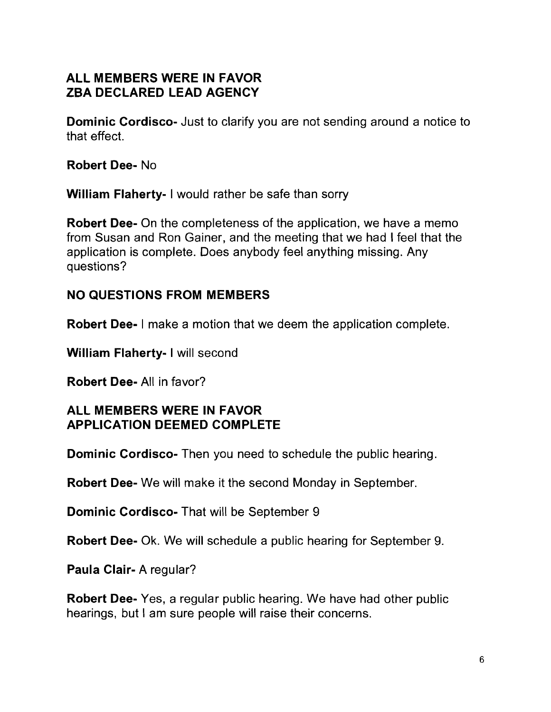## **ALL MEMBERS WERE IN FAVOR ZBA DECLARED LEAD AGENCY**

**Dominic Cordisco-** Just to clarify you are not sending around a notice to that effect.

**Robert Dee- No** 

**William Flaherty- I** would rather be safe than sorry

**Robert Dee-** On the completeness of the application, we have a memo from Susan and Ron Gainer, and the meeting that we had I feel that the application is complete. Does anybody feel anything missing. Any questions?

### **NO QUESTIONS FROM MEMBERS**

**Robert Dee-** I make a motion that we deem the application complete.

**William Flaherty- I** will second

**Robert Dee-** All in favor?

#### **ALL MEMBERS WERE IN FAVOR APPLICATION DEEMED COMPLETE**

**Dominic Cordisco-** Then you need to schedule the public hearing.

**Robert Dee-** We will make it the second Monday in September.

**Dominic Cordisco-** That will be September 9

**Robert Dee-** Ok. We will schedule a public hearing for September 9.

**Paula Clair-** A regular?

**Robert Dee-** Yes, a regular public hearing. We have had other public hearings, but I am sure people will raise their concerns.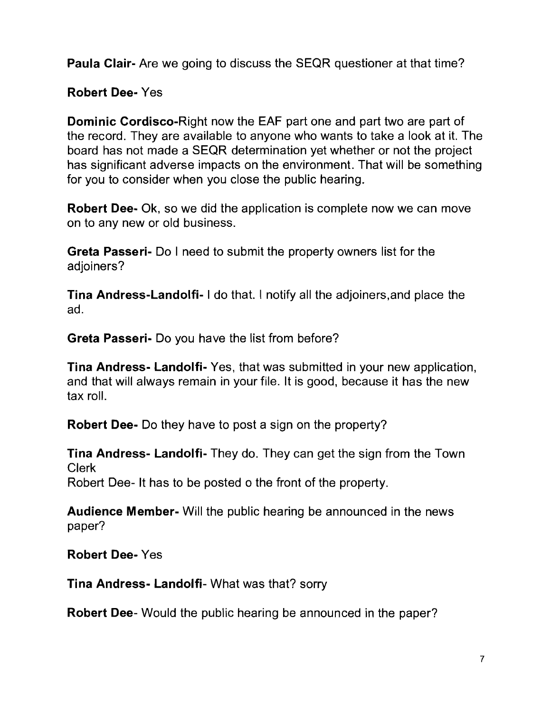Paula Clair- Are we going to discuss the SEQR questioner at that time?

Robert Dee- Yes

Dominic Cordisco-Right now the EAF part one and part two are part of the record. They are available to anyone who wants to take a look at it. The board has not made a SEQR determination yet whether or not the project has significant adverse impacts on the environment. That will be something for you to consider when you close the public hearing.

Robert Dee- Ok, so we did the application is complete now we can move on to any new or old business.

Greta Passeri- Do I need to submit the property owners list for the adjoiners?

Tina Andress-Landolfi- I do that. I notify all the adjoiners,and place the ad.

Greta Passeri- Do you have the list from before?

Tina Andress- Landolfi- Yes, that was submitted in your new application, and that will always remain in your file. It is good, because it has the new tax roll.

Robert Dee- Do they have to post a sign on the property?

Tina Andress- Landolfi- They do. They can get the sign from the Town Clerk Robert Dee- It has to be posted o the front of the property.

Audience Member- Will the public hearing be announced in the news paper?

Robert Dee- Yes

Tina Andress- Landolfi- What was that? sorry

Robert Dee- Would the public hearing be announced in the paper?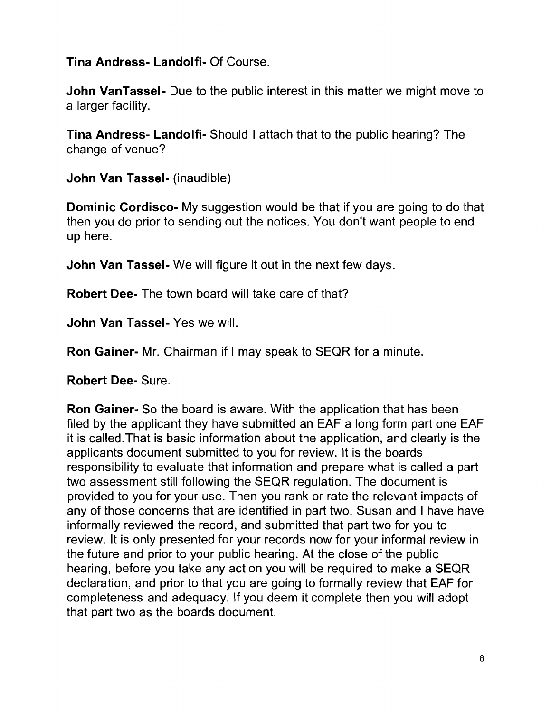**Tina Andress- Landolfi-** Of Course.

**John VanTassel-** Due to the public interest in this matter we might move to a larger facility.

**Tina Andress- Landolfi-** Should I attach that to the public hearing? The change of venue?

**John Van Tassel-** (inaudible)

**Dominic Cordisco-** My suggestion would be that if you are going to do that then you do prior to sending out the notices. You don't want people to end up here.

**John Van Tassel-** We will figure it out in the next few days.

**Robert Dee-** The town board will take care of that?

**John Van Tassel-** Yes we will.

**Ron Gainer-** Mr. Chairman if I may speak to SEQR for a minute.

**Robert Dee-** Sure.

**Ron Gainer-** So the board is aware. With the application that has been filed by the applicant they have submitted an EAF a long form part one EAF it is called.That is basic information about the application, and clearly is the applicants document submitted to you for review. It is the boards responsibility to evaluate that information and prepare what is called a part two assessment still following the SEQR regulation. The document is provided to you for your use. Then you rank or rate the relevant impacts of any of those concerns that are identified in part two. Susan and I have have informally reviewed the record, and submitted that part two for you to review. It is only presented for your records now for your informal review in the future and prior to your public hearing. At the close of the public hearing, before you take any action you will be required to make a SEQR declaration, and prior to that you are going to formally review that EAF for completeness and adequacy. If you deem it complete then you will adopt that part two as the boards document.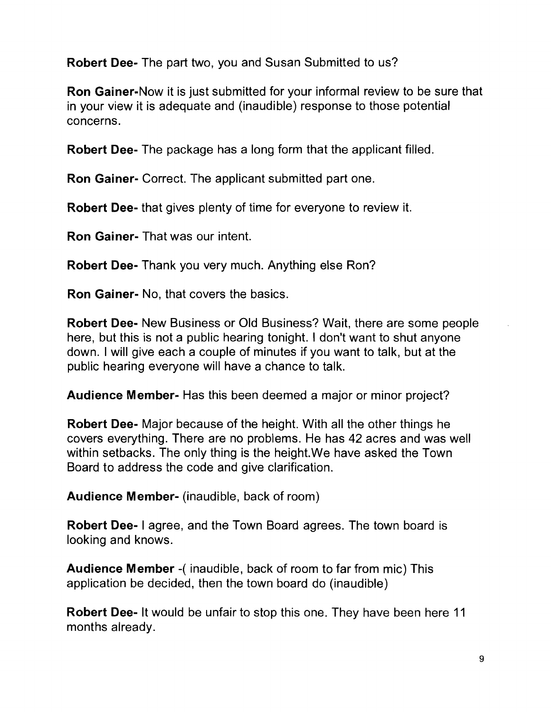Robert Dee- The part two, you and Susan Submitted to us?

Ron Gainer-Now it is just submitted for your informal review to be sure that in your view it is adequate and (inaudible) response to those potential concerns.

Robert Dee- The package has a long form that the applicant filled.

Ron Gainer- Correct. The applicant submitted part one.

Robert Dee- that gives plenty of time for everyone to review it.

Ron Gainer- That was our intent.

Robert Dee- Thank you very much. Anything else Ron?

Ron Gainer- No, that covers the basics.

Robert Dee- New Business or Old Business? Wait, there are some people here, but this is not a public hearing tonight. I don't want to shut anyone down. I will give each a couple of minutes if you want to talk, but at the public hearing everyone will have a chance to talk.

Audience Member- Has this been deemed a major or minor project?

Robert Dee- Major because of the height. With all the other things he covers everything. There are no problems. He has 42 acres and was well within setbacks. The only thing is the height.We have asked the Town Board to address the code and give clarification.

Audience Member- (inaudible, back of room)

Robert Dee- I agree, and the Town Board agrees. The town board is looking and knows.

Audience Member -( inaudible, back of room to far from mic) This application be decided, then the town board do (inaudible)

Robert Dee- It would be unfair to stop this one. They have been here 11 months already.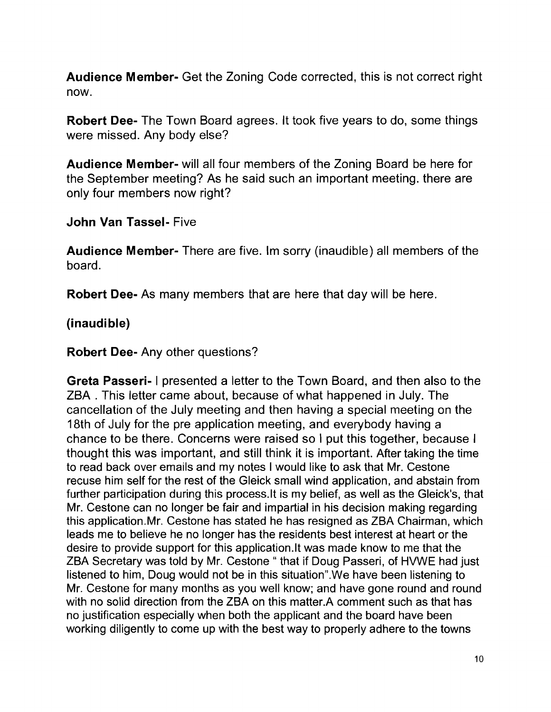**Audience Member-** Get the Zoning Code corrected, this is not correct right now.

**Robert Dee-** The Town Board agrees. It took five years to do, some things were missed. Any body else?

**Audience Member-** will all four members of the Zoning Board be here for the September meeting? As he said such an important meeting. there are only four members now right?

**John Van Tassel-** Five

**Audience Member-** There are five. 1m sorry (inaudible) all members of the board.

**Robert Dee-** As many members that are here that day will be here.

#### **(inaudible)**

**Robert Dee-** Any other questions?

**Greta Passeri-** I presented a letter to the Town Board, and then also to the ZBA . This letter came about, because of what happened in July. The cancellation of the July meeting and then having a special meeting on the 18th of July for the pre application meeting, and everybody having a chance to be there. Concerns were raised so I put this together, because I thought this was important, and still think it is important. After taking the time to read back over emails and my notes I would like to ask that Mr. Cestone recuse him self for the rest of the Gleick small wind application, and abstain from further participation during this process.lt is my belief, as well as the Gleick's, that Mr. Cestone can no longer be fair and impartial in his decision making regarding this application.Mr. Cestone has stated he has resigned as ZBA Chairman, which leads me to believe he no longer has the residents best interest at heart or the desire to provide support for this application.It was made know to me that the ZBA Secretary was told by Mr. Cestone " that if Doug Passeri, of HVWE had just listened to him, Doug would not be in this situation". We have been listening to Mr. Cestone for many months as you well know; and have gone round and round with no solid direction from the ZBA on this matter.A comment such as that has no justification especially when both the applicant and the board have been working diligently to come up with the best way to properly adhere to the towns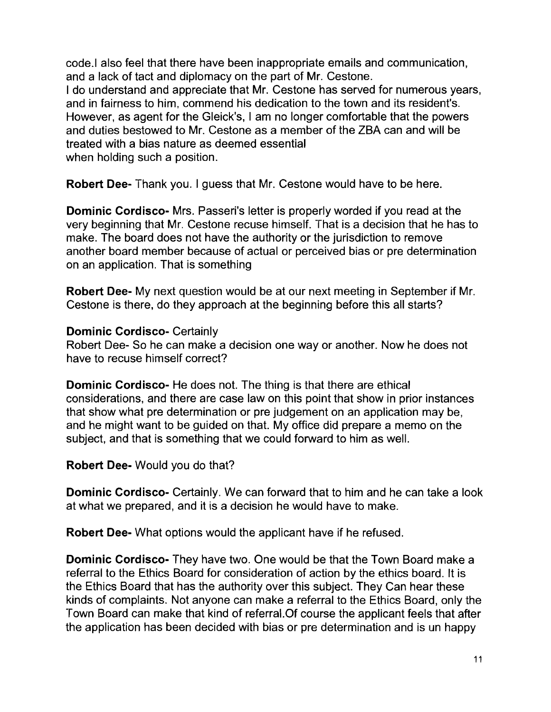code.1 also feel that there have been inappropriate emails and communication, and a lack of tact and diplomacy on the part of Mr. Cestone. I do understand and appreciate that Mr. Cestone has served for numerous years, and in fairness to him, commend his dedication to the town and its resident's. However, as agent for the Gleick's, I am no longer comfortable that the powers and duties bestowed to Mr. Cestone as a member of the ZBA can and will be treated with a bias nature as deemed essential when holding such a position.

**Robert Dee-** Thank you. I guess that Mr. Cestone would have to be here.

**Dominic Cordisco-** Mrs. Passeri's letter is properly worded if you read at the very beginning that Mr. Cestone recuse himself. That is a decision that he has to make. The board does not have the authority or the jurisdiction to remove another board member because of actual or perceived bias or pre determination on an application. That is something

**Robert Dee-** My next question would be at our next meeting in September if Mr. Cestone is there, do they approach at the beginning before this all starts?

#### **Dominic Cordisco-** Certainly

Robert Dee- So he can make a decision one way or another. Now he does not have to recuse himself correct?

**Dominic Cordisco-** He does not. The thing is that there are ethical considerations, and there are case law on this point that show in prior instances that show what pre determination or pre judgement on an application may be, and he might want to be guided on that. My office did prepare a memo on the subject, and that is something that we could forward to him as well.

**Robert Dee-** Would you do that?

**Dominic Cordisco-** Certainly. We can forward that to him and he can take a look at what we prepared, and it is a decision he would have to make.

**Robert Dee-** What options would the applicant have if he refused.

**Dominic Cordisco-** They have two. One would be that the Town Board make a referral to the Ethics Board for consideration of action by the ethics board. It is the Ethics Board that has the authority over this subject. They Can hear these kinds of complaints. Not anyone can make a referral to the Ethics Board, only the Town Board can make that kind of referral.Of course the applicant feels that after the application has been decided with bias or pre determination and is un happy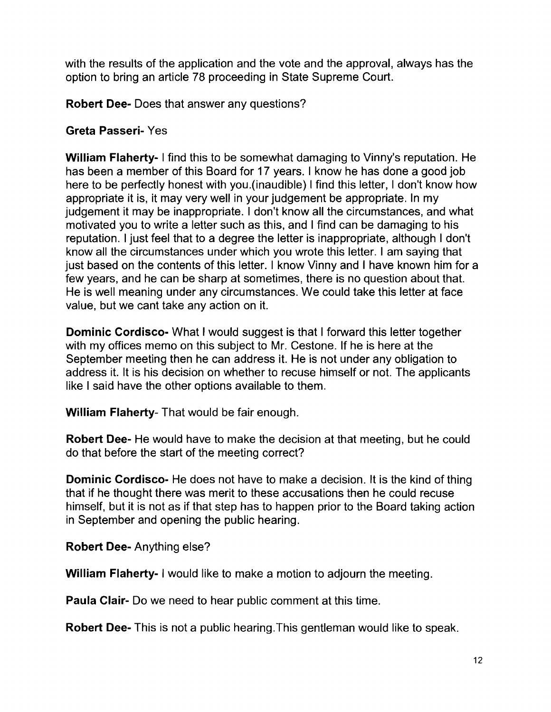with the results of the application and the vote and the approval, always has the option to bring an article 78 proceeding in State Supreme Court.

**Robert Dee-** Does that answer any questions?

#### **Greta Passeri-** Yes

**William Flaherty-** I find this to be somewhat damaging to Vinny's reputation. He has been a member of this Board for 17 years. I know he has done a good job here to be perfectly honest with you.(inaudible) I find this letter, I don't know how appropriate it is, it may very well in your judgement be appropriate. In my judgement it may be inappropriate. I don't know all the circumstances, and what motivated you to write a letter such as this, and I find can be damaging to his reputation. I just feel that to a degree the letter is inappropriate, although I don't know all the circumstances under which you wrote this letter. I am saying that just based on the contents of this letter. I know Vinny and I have known him for a few years, and he can be sharp at sometimes, there is no question about that. He is well meaning under any circumstances. We could take this letter at face value, but we cant take any action on it.

**Dominic Cordisco-** What I would suggest is that I forward this letter together with my offices memo on this subject to Mr. Cestone. If he is here at the September meeting then he can address it. He is not under any obligation to address it. It is his decision on whether to recuse himself or not. The applicants like I said have the other options available to them.

**William Flaherty-** That would be fair enough.

**Robert Dee-** He would have to make the decision at that meeting, but he could do that before the start of the meeting correct?

**Dominic Cordisco-** He does not have to make a decision. It is the kind of thing that if he thought there was merit to these accusations then he could recuse himself, but it is not as if that step has to happen prior to the Board taking action in September and opening the public hearing.

**Robert Dee-** Anything else?

**William Flaherty- I** would like to make a motion to adjourn the meeting.

**Paula Clair-** Do we need to hear public comment at this time.

**Robert Dee-** This is not a public hearing.This gentleman would like to speak.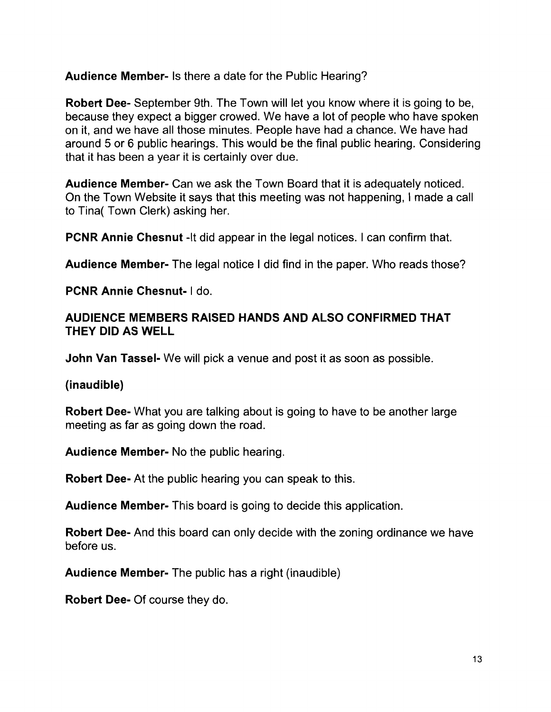**Audience Member-** Is there a date for the Public Hearing?

**Robert Dee-** September 9th. The Town will let you know where it is going to be, because they expect a bigger crowed. We have a lot of people who have spoken on it, and we have all those minutes. People have had a chance. We have had around 5 or 6 public hearings. This would be the final public hearing. Considering that it has been a year it is certainly over due.

**Audience Member-** Can we ask the Town Board that it is adequately noticed. On the Town Website it says that this meeting was not happening, I made a call to Tina( Town Clerk) asking her.

**PCNR Annie Chesnut** -It did appear in the legal notices. I can confirm that.

**Audience Member-** The legal notice I did find in the paper. Who reads those?

**PCNR Annie Chesnut- I** do.

#### **AUDIENCE MEMBERS RAISED HANDS AND ALSO CONFIRMED THAT THEY DID AS WELL**

**John Van Tassel-** We will pick a venue and post it as soon as possible.

**(inaudible)** 

**Robert Dee-** What you are talking about is going to have to be another large meeting as far as going down the road.

**Audience Member-** No the public hearing.

**Robert Dee-** At the public hearing you can speak to this.

**Audience Member-** This board is going to decide this application.

**Robert Dee-** And this board can only decide with the zoning ordinance we have before us.

**Audience Member-** The public has a right (inaudible)

**Robert Dee-** Of course they do.